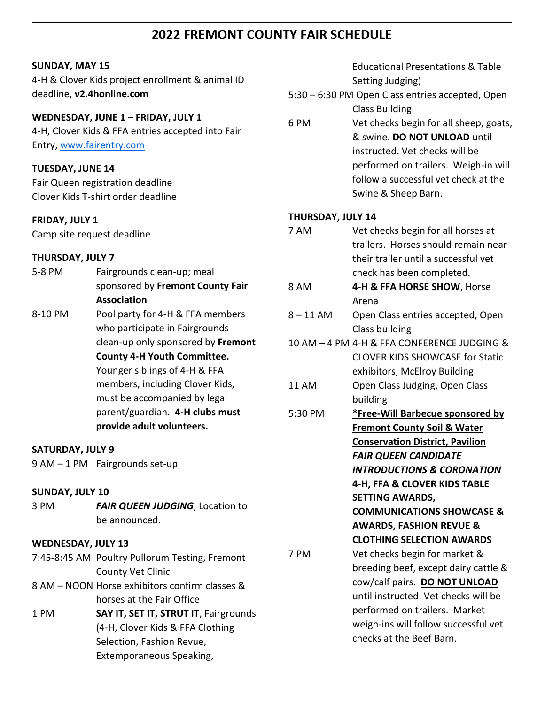## **2022 FREMONT COUNTY FAIR SCHEDULE**

#### **SUNDAY, MAY 15**

4-H & Clover Kids project enrollment & animal ID deadline, **v2.4honline.com**

#### **WEDNESDAY, JUNE 1 – FRIDAY, JULY 1**

4-H, Clover Kids & FFA entries accepted into Fair Entry, [www.fairentry.com](http://www.fairentry.com/)

#### **TUESDAY, JUNE 14**

Fair Queen registration deadline Clover Kids T-shirt order deadline

#### **FRIDAY, JULY 1**

Camp site request deadline

#### **THURSDAY, JULY 7**

| 5-8 PM  | Fairgrounds clean-up; meal         |
|---------|------------------------------------|
|         | sponsored by Fremont County Fair   |
|         | <b>Association</b>                 |
| 8-10 PM | Pool party for 4-H & FFA members   |
|         | who participate in Fairgrounds     |
|         | clean-up only sponsored by Fremont |
|         | <b>County 4-H Youth Committee.</b> |
|         | Younger siblings of 4-H & FFA      |
|         | members, including Clover Kids,    |
|         | must be accompanied by legal       |
|         | parent/guardian. 4-H clubs must    |
|         | provide adult volunteers.          |
|         |                                    |

#### **SATURDAY, JULY 9**

9 AM – 1 PM Fairgrounds set-up

#### **SUNDAY, JULY 10**

3 PM *FAIR QUEEN JUDGING*, Location to be announced.

#### **WEDNESDAY, JULY 13**

- 7:45-8:45 AM Poultry Pullorum Testing, Fremont County Vet Clinic 8 AM – NOON Horse exhibitors confirm classes & horses at the Fair Office
- 1 PM **SAY IT, SET IT, STRUT IT**, Fairgrounds (4-H, Clover Kids & FFA Clothing Selection, Fashion Revue, Extemporaneous Speaking,

Educational Presentations & Table Setting Judging)

- 5:30 6:30 PM Open Class entries accepted, Open Class Building
- 6 PM Vet checks begin for all sheep, goats, & swine. **DO NOT UNLOAD** until instructed. Vet checks will be performed on trailers. Weigh-in will follow a successful vet check at the Swine & Sheep Barn.

#### **THURSDAY, JULY 14**

- 7 AM Vet checks begin for all horses at trailers. Horses should remain near their trailer until a successful vet check has been completed.
- 8 AM **4-H & FFA HORSE SHOW**, Horse Arena
- 8 11 AM Open Class entries accepted, Open Class building
- 10 AM 4 PM 4-H & FFA CONFERENCE JUDGING & CLOVER KIDS SHOWCASE for Static exhibitors, McElroy Building 11 AM Open Class Judging, Open Class
- building
- 5:30 PM **\*Free-Will Barbecue sponsored by Fremont County Soil & Water Conservation District, Pavilion** *FAIR QUEEN CANDIDATE INTRODUCTIONS & CORONATION* **4-H, FFA & CLOVER KIDS TABLE SETTING AWARDS,**

**COMMUNICATIONS SHOWCASE & AWARDS, FASHION REVUE & CLOTHING SELECTION AWARDS**

7 PM Vet checks begin for market & breeding beef, except dairy cattle & cow/calf pairs. **DO NOT UNLOAD** until instructed. Vet checks will be performed on trailers. Market weigh-ins will follow successful vet checks at the Beef Barn.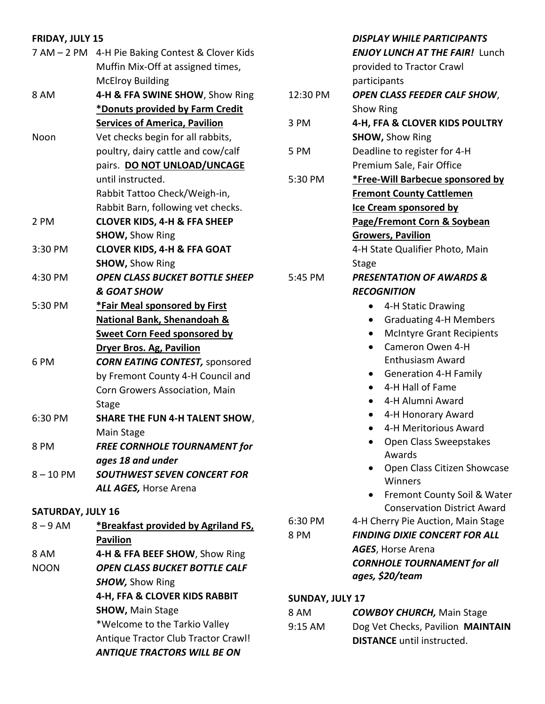#### **FRIDAY, JULY 15** 7 AM – 2 PM 4-H Pie Baking Contest & Clover Kids Muffin Mix-Off at assigned times, McElroy Building 8 AM **4-H & FFA SWINE SHOW**, Show Ring **\*Donuts provided by Farm Credit Services of America, Pavilion** Noon Vet checks begin for all rabbits, poultry, dairy cattle and cow/calf pairs. **DO NOT UNLOAD/UNCAGE** until instructed. Rabbit Tattoo Check/Weigh-in, Rabbit Barn, following vet checks. 2 PM **CLOVER KIDS, 4-H & FFA SHEEP SHOW,** Show Ring 3:30 PM **CLOVER KIDS, 4-H & FFA GOAT SHOW,** Show Ring 4:30 PM *OPEN CLASS BUCKET BOTTLE SHEEP & GOAT SHOW* 5:30 PM **\*Fair Meal sponsored by First National Bank, Shenandoah & Sweet Corn Feed sponsored by Dryer Bros. Ag, Pavilion** 6 PM *CORN EATING CONTEST,* sponsored by Fremont County 4-H Council and Corn Growers Association, Main **Stage** 6:30 PM **SHARE THE FUN 4-H TALENT SHOW**, Main Stage 8 PM *FREE CORNHOLE TOURNAMENT for ages 18 and under DISPLAY WHILE PARTICIPANTS ENJOY LUNCH AT THE FAIR!* Lunch provided to Tractor Crawl participants 12:30 PM *OPEN CLASS FEEDER CALF SHOW*, Show Ring 3 PM **4-H, FFA & CLOVER KIDS POULTRY SHOW,** Show Ring 5 PM Deadline to register for 4-H Premium Sale, Fair Office 5:30 PM **\*Free-Will Barbecue sponsored by Fremont County Cattlemen Ice Cream sponsored by Page/Fremont Corn & Soybean Growers, Pavilion** 4-H State Qualifier Photo, Main Stage 5:45 PM *PRESENTATION OF AWARDS & RECOGNITION* • 4-H Static Drawing • Graduating 4-H Members • McIntyre Grant Recipients • Cameron Owen 4-H Enthusiasm Award • Generation 4-H Family • 4-H Hall of Fame • 4-H Alumni Award • 4-H Honorary Award • 4-H Meritorious Award • Open Class Sweepstakes Awards

- Open Class Citizen Showcase Winners
- Fremont County Soil & Water Conservation District Award
- 6:30 PM 4-H Cherry Pie Auction, Main Stage

### **SUNDAY, JULY 17**

| 8 AM      | <b>COWBOY CHURCH, Main Stage</b>  |
|-----------|-----------------------------------|
| $9:15$ AM | Dog Vet Checks, Pavilion MAINTAIN |
|           | <b>DISTANCE</b> until instructed. |

8 – 10 PM *SOUTHWEST SEVEN CONCERT FOR ALL AGES,* Horse Arena

#### **SATURDAY, JULY 16**

8 – 9 AM **\*Breakfast provided by Agriland FS, Pavilion** 8 AM **4-H & FFA BEEF SHOW**, Show Ring NOON *OPEN CLASS BUCKET BOTTLE CALF SHOW,* Show Ring **4-H, FFA & CLOVER KIDS RABBIT SHOW,** Main Stage \*Welcome to the Tarkio Valley Antique Tractor Club Tractor Crawl! *ANTIQUE TRACTORS WILL BE ON*